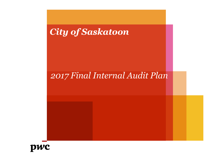# *City of Saskatoon*

# *2017 Final Internal Audit Plan*

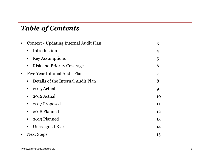#### *Table of Contents*

|           | Context - Updating Internal Audit Plan          |    |  |
|-----------|-------------------------------------------------|----|--|
|           | Introduction<br>$\bullet$                       | 4  |  |
|           | <b>Key Assumptions</b>                          | 5  |  |
|           | <b>Risk and Priority Coverage</b>               | 6  |  |
| $\bullet$ | Five Year Internal Audit Plan                   | 7  |  |
|           | Details of the Internal Audit Plan<br>$\bullet$ | 8  |  |
|           | 2015 Actual                                     | 9  |  |
|           | 2016 Actual                                     | 10 |  |
|           | 2017 Proposed                                   | 11 |  |
|           | 2018 Planned                                    | 12 |  |
|           | 2019 Planned                                    | 13 |  |
|           | <b>Unassigned Risks</b><br>$\bullet$            | 14 |  |
| $\bullet$ | <b>Next Steps</b>                               | 15 |  |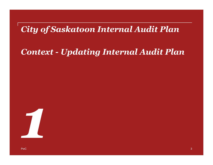# *City of Saskatoon Internal Audit Plan*

## *Context - Updating Internal Audit Plan*

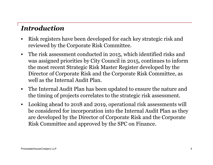### *Introduction*

- Risk registers have been developed for each key strategic risk and reviewed by the Corporate Risk Committee.
- The risk assessment conducted in 2015, which identified risks and was assigned priorities by City Council in 2015, continues to inform the most recent Strategic Risk Master Register developed by the Director of Corporate Risk and the Corporate Risk Committee, as well as the Internal Audit Plan.
- The Internal Audit Plan has been updated to ensure the nature and the timing of projects correlates to the strategic risk assessment.
- Looking ahead to 2018 and 2019, operational risk assessments will be considered for incorporation into the Internal Audit Plan as they are developed by the Director of Corporate Risk and the Corporate Risk Committee and approved by the SPC on Finance.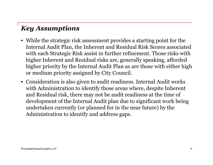### *Key Assumptions*

- While the strategic risk assessment provides a starting point for the Internal Audit Plan, the Inherent and Residual Risk Scores associated with each Strategic Risk assist in further refinement. Those risks with higher Inherent and Residual risks are, generally speaking, afforded higher priority by the Internal Audit Plan as are those with either high or medium priority assigned by City Council.
- Consideration is also given to audit readiness. Internal Audit works with Administration to identify those areas where, despite Inherent and Residual risk, there may not be audit readiness at the time of development of the Internal Audit plan due to significant work being undertaken currently (or planned for in the near future) by the Administration to identify and address gaps.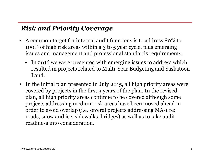#### *Risk and Priority Coverage*

- A common target for internal audit functions is to address 80% to 100% of high risk areas within a 3 to 5 year cycle, plus emerging issues and management and professional standards requirements.
	- In 2016 we were presented with emerging issues to address which resulted in projects related to Multi-Year Budgeting and Saskatoon Land.
- In the initial plan presented in July 2015, all high priority areas were covered by projects in the first 3 years of the plan. In the revised plan, all high priority areas continue to be covered although some projects addressing medium risk areas have been moved ahead in order to avoid overlap (i.e. several projects addressing MA-1 re: roads, snow and ice, sidewalks, bridges) as well as to take audit readiness into consideration.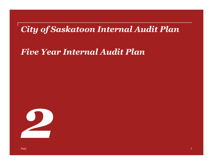## *City of Saskatoon Internal Audit Plan*

## *Five Year Internal Audit Plan*

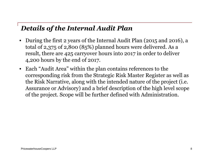#### *Details of the Internal Audit Plan*

- During the first 2 years of the Internal Audit Plan (2015 and 2016), a total of 2,375 of 2,800 (85%) planned hours were delivered. As a result, there are 425 carryover hours into 2017 in order to deliver 4,200 hours by the end of 2017.
- Each "Audit Area" within the plan contains references to the corresponding risk from the Strategic Risk Master Register as well as the Risk Narrative, along with the intended nature of the project (i.e. Assurance or Advisory) and a brief description of the high level scope of the project. Scope will be further defined with Administration.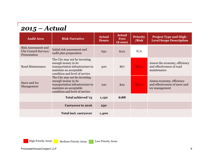#### *2015 – Actual*

| <b>Audit Area</b>                                                   | <b>Risk Narrative</b>                                                                                                                                | <b>Actual</b><br><b>Hours</b> | <b>Actual</b><br><b>Fees</b><br>(\$000) | <b>Priority</b><br>/Risk | <b>Project Type and High-</b><br><b>Level Scope Description</b>               |
|---------------------------------------------------------------------|------------------------------------------------------------------------------------------------------------------------------------------------------|-------------------------------|-----------------------------------------|--------------------------|-------------------------------------------------------------------------------|
| <b>Risk Assessment and</b><br>City Council Surveys/<br>Presentation | Initial risk assessment and<br>audit plan preparation                                                                                                | 650                           | \$101                                   | N/A                      |                                                                               |
| <b>Road Maintenance</b>                                             | The City may not be investing<br>enough money in its<br>transportation infrastructure to<br>maintain an acceptable<br>condition and level of service | 400                           | \$67                                    | $MA-1$                   | Assess the economy, efficiency<br>and effectiveness of road<br>maintenance    |
| Snow and Ice<br>Management                                          | The City may not be investing<br>enough money in its<br>transportation infrastructure to<br>maintain an acceptable<br>condition and level of service | 100                           | \$20                                    | $MA-1$                   | Assess economy, efficiency<br>and effectiveness of snow and<br>ice management |
|                                                                     | Total achieved '15                                                                                                                                   | 1,150                         | \$188                                   |                          |                                                                               |
|                                                                     | <b>Carryover to 2016</b>                                                                                                                             | 250                           |                                         |                          |                                                                               |
|                                                                     | <b>Total incl. carryover</b>                                                                                                                         | 1,400                         |                                         |                          |                                                                               |

High Priority Areas Medium Priority Areas Low Priority Areas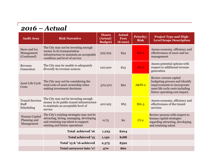#### *2016 – Actual*

| <b>Audit Area</b>                                     | <b>Risk Narrative</b>                                                                                                                                          | <b>Hours</b><br>(Actual/<br><b>Budget</b> ) | <b>Actual</b><br><b>Fees</b><br>(8000) | <b>Priority/</b><br><b>Risk</b> | <b>Project Type and High-</b><br><b>Level Scope Description</b>                                                                                              |
|-------------------------------------------------------|----------------------------------------------------------------------------------------------------------------------------------------------------------------|---------------------------------------------|----------------------------------------|---------------------------------|--------------------------------------------------------------------------------------------------------------------------------------------------------------|
| Snow and Ice<br>Management<br>(Continued)             | The City may not be investing enough<br>money in its transportation<br>infrastructure to maintain an acceptable<br>condition and level of service              | 325/325                                     | \$54                                   | $MA-1$                          | Assess economy, efficiency and<br>effectiveness of snow and ice<br>management                                                                                |
| Revenue<br>Generation                                 | The City may be unable to adequately<br>diversify its revenue sources                                                                                          | 120/400                                     | \$23                                   | $SG-1$                          | Assess potential options with<br>respect to additional revenue<br>generation                                                                                 |
| Asset Life Cycle<br>Costs                             | The City may not be considering the<br>total costs of asset ownership when<br>making investment decisions                                                      | 370/470                                     | \$62                                   | <b>A&amp;FS-2</b>               | Review current capital<br>budgeting process and identify<br>improvements to incorporate<br>asset life cycle costs including<br>future operating cost impact. |
| <b>Transit Services</b><br><b>Staff</b><br>Scheduling | The City may not be investing enough<br>money in its public transit infrastructure<br>to maintain an acceptable level of<br>service                            | 410/425                                     | \$65                                   | $MA-3$                          | Assess economy, efficiency and<br>effectiveness of the transit<br>services                                                                                   |
| Human Capital<br>Planning and<br>Management           | The City's existing strategies may not be<br>attracting, hiring, managing, developing<br>and retaining top talent to support<br>existing and future operations | 0/75                                        | \$o                                    | $CI-2$                          | Review process with respect to<br>human capital strategies<br>regarding attracting, developing<br>and retaining talent                                       |
|                                                       | Total achieved '16                                                                                                                                             | 1,225                                       | \$204                                  |                                 |                                                                                                                                                              |
|                                                       | Total achieved '15                                                                                                                                             | 1,150                                       | \$188                                  |                                 |                                                                                                                                                              |
|                                                       | Total '15 & '16 achieved                                                                                                                                       | 2,375                                       | \$392                                  |                                 |                                                                                                                                                              |
|                                                       | Total carryover into '17                                                                                                                                       | 470                                         | \$60                                   |                                 |                                                                                                                                                              |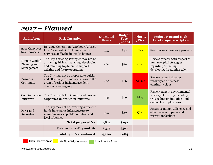## *2017 – Planned*

| <b>Audit Area</b>                           | <b>Risk Narrative</b>                                                                                                                                          | <b>Estimated</b><br><b>Hours</b> | <b>Budget</b><br><b>Fees</b><br>(\$000) | <b>Priority</b><br>/Risk | <b>Project Type and High-</b><br><b>Level Scope Description</b>                                                                        |
|---------------------------------------------|----------------------------------------------------------------------------------------------------------------------------------------------------------------|----------------------------------|-----------------------------------------|--------------------------|----------------------------------------------------------------------------------------------------------------------------------------|
| 2016 Carryover<br>from Projects             | Revenue Generation (280 hours), Asset<br>Life Cycle Costs (100 hours), Transit<br>Services Staff Scheduling (15 hours)                                         | 395                              | \$47                                    | N/A                      | See previous page for 3 projects                                                                                                       |
| Human Capital<br>Planning and<br>Management | The City's existing strategies may not be<br>attracting, hiring, managing, developing<br>and retaining top talent to support<br>existing and future operations | 460                              | \$80                                    | $CI-2$                   | Review process with respect to<br>human capital strategies<br>regarding attracting,<br>developing & retaining talent                   |
| <b>Business</b><br>Continuity               | The City may not be prepared to quickly<br>and effectively resume operations in the<br>event of serious incident, accident,<br>disaster or emergency           | 400                              | \$66                                    | <b>A&amp;FS-1</b>        | Review current disaster<br>recovery and business<br>continuity plans                                                                   |
| Co <sub>2</sub> Reduction<br>Initiatives    | The City may fail to identify and pursue<br>corporate Co2 reduction initiatives.                                                                               | 275                              | \$69                                    | $EL-3$                   | Review current environmental<br>strategy of the City including<br>CO <sub>2</sub> reduction initiatives and<br>carbon tax implications |
| Parks and<br>Recreation                     | The City may not be investing sufficient<br>funds in its parks infrastructure to<br>maintain an acceptable condition and<br>level of service                   | 295                              | \$30                                    | $QL-1$                   | Assess economy, efficiency and<br>effectiveness of parks and<br>recreation facilities                                                  |
|                                             | Total proposed '17                                                                                                                                             | 1,825                            | \$292                                   |                          |                                                                                                                                        |
|                                             | Total achieved '15 and '16                                                                                                                                     | 2,375                            | \$392                                   |                          |                                                                                                                                        |
|                                             | Total '15 to '17 combined                                                                                                                                      | 4,200                            | \$684                                   |                          |                                                                                                                                        |

High Priority Areas Medium Priority Areas Low Priority Areas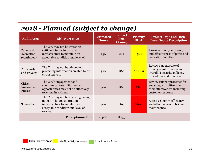#### *2018 - Planned (subject to change)*

| <b>Audit Area</b>                      | <b>Risk Narrative</b>                                                                                                                                 | <b>Estimated</b><br><b>Hours</b> | <b>Budget</b><br><b>Fees</b><br>(8000) | <b>Priority</b><br>/Risk | <b>Project Type and High-</b><br><b>Level Scope Description</b>                                                    |
|----------------------------------------|-------------------------------------------------------------------------------------------------------------------------------------------------------|----------------------------------|----------------------------------------|--------------------------|--------------------------------------------------------------------------------------------------------------------|
| Parks and<br>Recreation<br>(continued) | The City may not be investing<br>sufficient funds in its parks<br>infrastructure to maintain an<br>acceptable condition and level of<br>service       | 230                              | \$42                                   | $QL-1$                   | Assess economy, efficiency<br>and effectiveness of parks and<br>recreation facilities                              |
| IT Security<br>and Privacy             | The City may not be adequately<br>protecting information created by or<br>entrusted to it                                                             | 370                              | \$60                                   | $A&FS-9$                 | Review current state of<br>privacy of information and<br>overall IT security policies,<br>procedures and practices |
| Citizen<br>Engagement<br>Process       | The City's engagement and<br>communications initiatives and<br>opportunities may not be effectively<br>reaching its citizens                          | 400                              | \$68                                   | $CI-1$                   | Review current processes for<br>engaging with citizens and<br>their effectiveness including<br>customer response   |
| <b>Sidewalks</b>                       | The City may not be investing enough<br>money in its transportation<br>infrastructure to maintain an<br>acceptable condition and level of<br>service. | 400                              | \$67                                   | $MA-1$                   | Assess economy, efficiency<br>and effectiveness of bridge<br>maintenance                                           |
|                                        | Total planned '18                                                                                                                                     | 1,400                            | \$237                                  |                          |                                                                                                                    |

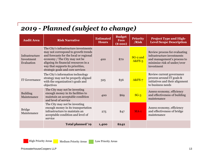#### *2019 - Planned (subject to change)*

| <b>Audit Area</b>                          | <b>Risk Narrative</b>                                                                                                                                                                                                                                                       | <b>Estimated</b><br><b>Hours</b> | <b>Budget</b><br><b>Fees</b><br>(\$000) | <b>Priority</b><br>/Risk | <b>Project Type and High-</b><br><b>Level Scope Description</b>                                                                         |
|--------------------------------------------|-----------------------------------------------------------------------------------------------------------------------------------------------------------------------------------------------------------------------------------------------------------------------------|----------------------------------|-----------------------------------------|--------------------------|-----------------------------------------------------------------------------------------------------------------------------------------|
| Infrastructure<br>Investment<br>Evaluation | The City's infrastructure investments<br>may not correspond to growth trends<br>and forecasts for the local or regional<br>economy / The City may not be<br>aligning its financial resources in a<br>way that supports its priorities,<br>strategic goals and core services | 400                              | \$70                                    | SG-2 and<br>$A&FS-5$     | Review process for evaluating<br>infrastructure investments<br>and management's process to<br>minimize risk of under/over<br>investment |
| <b>IT Governance</b>                       | The City's information technology<br>strategy may not be properly aligned<br>with the organization's goals and<br>objectives                                                                                                                                                | 325                              | \$56                                    | <b>A&amp;FS-7</b>        | Review current governance<br>process around IT goals &<br>initiatives and their alignment<br>to business needs                          |
| <b>Building</b><br>Maintenance             | The City may not be investing<br>enough money in its facilities to<br>maintain an acceptable condition<br>and level of service                                                                                                                                              | 400                              | \$69                                    | $SG-3$                   | Assess economy, efficiency<br>and effectiveness of building<br>maintenance                                                              |
| <b>Bridge</b><br>Maintenance               | The City may not be investing<br>enough money in its transportation<br>infrastructure to maintain an<br>acceptable condition and level of<br>service                                                                                                                        | 275                              | \$47                                    | $MA-1$                   | Assess economy, efficiency<br>and effectiveness of bridge<br>maintenance                                                                |
|                                            | Total planned '19                                                                                                                                                                                                                                                           | 1,400                            | \$242                                   |                          |                                                                                                                                         |

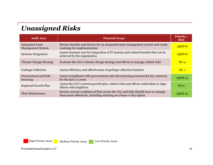#### *Unassigned Risks*

| <b>Audit Area</b>                                   | <b>Potential Scope</b>                                                                                                                                  | <b>Priority /</b><br><b>Risk</b> |
|-----------------------------------------------------|---------------------------------------------------------------------------------------------------------------------------------------------------------|----------------------------------|
| <b>Integrated Asset</b><br><b>Management System</b> | Review benefits and drivers for an integrated asset management system and create<br>roadmap for implementation                                          | <b>A&amp;FS-8</b>                |
| <b>Systems Integration</b>                          | Assess business case for integration of IT systems and related benefits that can be<br>achieved by the organization                                     | <b>A&amp;FS-8</b>                |
| <b>Climate Change Strategy</b>                      | Evaluate the City's climate change strategy and efforts to manage related risks                                                                         | $SG-4$                           |
| <b>Garbage Collection</b>                           | Assess efficiency and effectiveness of garbage collection function                                                                                      | $EL-1$                           |
| Procurement and Sole<br>Sourcing                    | Assess compliance with procurement and sole sourcing processes for key contracts<br>for the last 2-3 years                                              | $A&FS-12$                        |
| <b>Regional Growth Plan</b>                         | Assess the City's current growth plan, related risks and efforts undertaken to align<br>efforts with neighbors                                          | $SG-6$                           |
| <b>Fleet Maintenance</b>                            | Review current condition of fleet across the City and help identify how to manage<br>them more effectively, including advising on a lease vs buy option | <b>A&amp;FS-10</b>               |



High Priority Areas Medium Priority Areas Low Priority Areas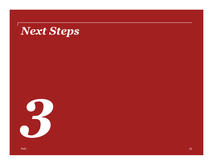# *Next Steps*